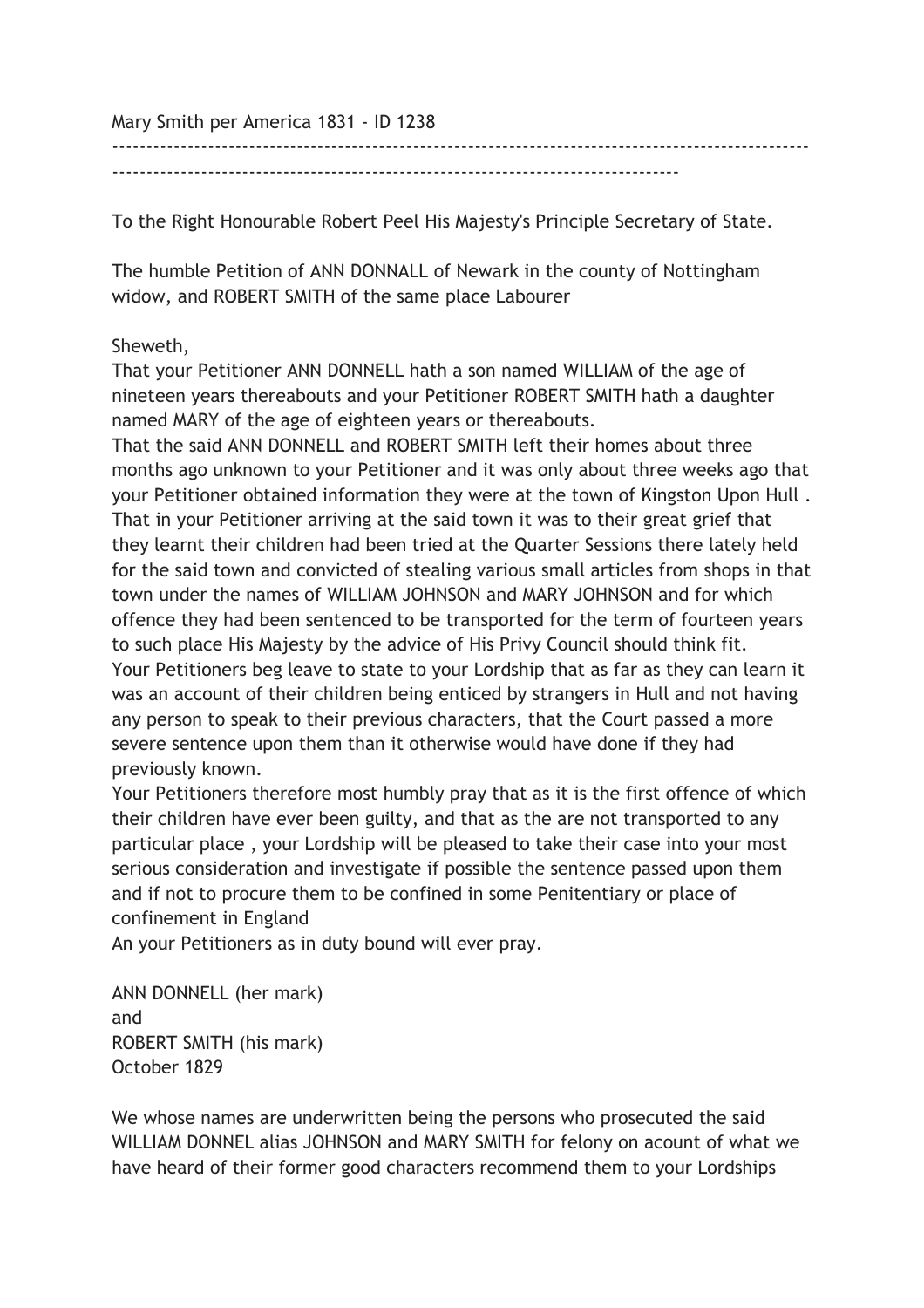Mary Smith per America 1831 - ID 1238

-----------------------------------------------------------------------------------

------------------------------------------------------------------------------------------------------

To the Right Honourable Robert Peel His Majesty's Principle Secretary of State.

The humble Petition of ANN DONNALL of Newark in the county of Nottingham widow, and ROBERT SMITH of the same place Labourer

## Sheweth,

That your Petitioner ANN DONNELL hath a son named WILLIAM of the age of nineteen years thereabouts and your Petitioner ROBERT SMITH hath a daughter named MARY of the age of eighteen years or thereabouts.

That the said ANN DONNELL and ROBERT SMITH left their homes about three months ago unknown to your Petitioner and it was only about three weeks ago that your Petitioner obtained information they were at the town of Kingston Upon Hull . That in your Petitioner arriving at the said town it was to their great grief that they learnt their children had been tried at the Quarter Sessions there lately held for the said town and convicted of stealing various small articles from shops in that town under the names of WILLIAM JOHNSON and MARY JOHNSON and for which offence they had been sentenced to be transported for the term of fourteen years to such place His Majesty by the advice of His Privy Council should think fit. Your Petitioners beg leave to state to your Lordship that as far as they can learn it was an account of their children being enticed by strangers in Hull and not having any person to speak to their previous characters, that the Court passed a more severe sentence upon them than it otherwise would have done if they had previously known.

Your Petitioners therefore most humbly pray that as it is the first offence of which their children have ever been guilty, and that as the are not transported to any particular place , your Lordship will be pleased to take their case into your most serious consideration and investigate if possible the sentence passed upon them and if not to procure them to be confined in some Penitentiary or place of confinement in England

An your Petitioners as in duty bound will ever pray.

ANN DONNELL (her mark) and ROBERT SMITH (his mark) October 1829

We whose names are underwritten being the persons who prosecuted the said WILLIAM DONNEL alias JOHNSON and MARY SMITH for felony on acount of what we have heard of their former good characters recommend them to your Lordships